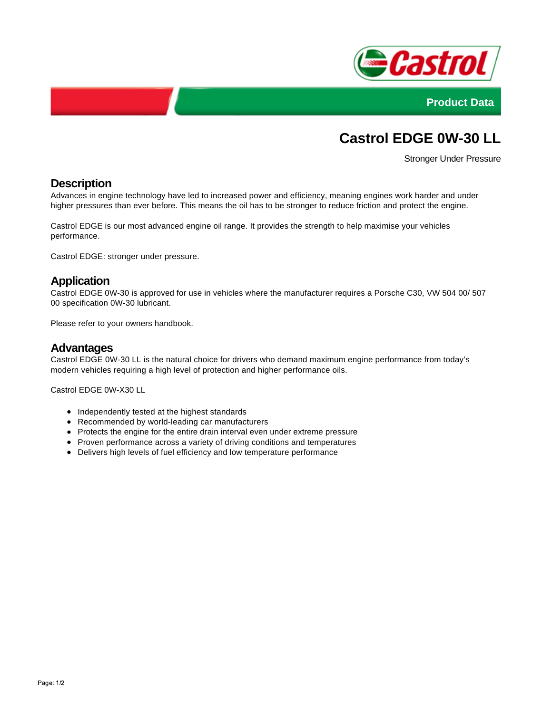



# **Castrol EDGE 0W-30 LL**

Stronger Under Pressure

## **Description**

Advances in engine technology have led to increased power and efficiency, meaning engines work harder and under higher pressures than ever before. This means the oil has to be stronger to reduce friction and protect the engine.

Castrol EDGE is our most advanced engine oil range. It provides the strength to help maximise your vehicles performance.

Castrol EDGE: stronger under pressure.

#### **Application**

Castrol EDGE 0W-30 is approved for use in vehicles where the manufacturer requires a Porsche C30, VW 504 00/ 507 00 specification 0W-30 lubricant.

Please refer to your owners handbook.

#### **Advantages**

Castrol EDGE 0W-30 LL is the natural choice for drivers who demand maximum engine performance from today's modern vehicles requiring a high level of protection and higher performance oils.

Castrol EDGE 0W-X30 LL

- Independently tested at the highest standards
- Recommended by world-leading car manufacturers
- Protects the engine for the entire drain interval even under extreme pressure
- Proven performance across a variety of driving conditions and temperatures
- Delivers high levels of fuel efficiency and low temperature performance